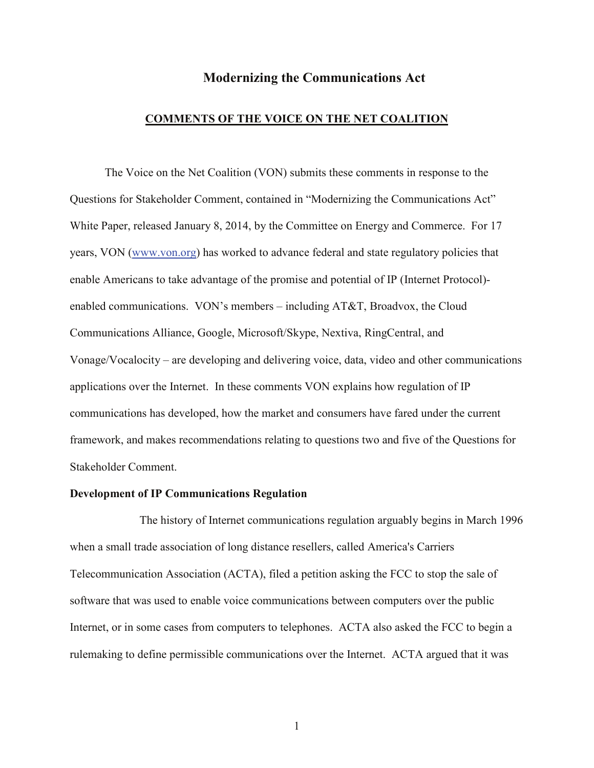# **Modernizing the Communications Act**

# **COMMENTS OF THE VOICE ON THE NET COALITION**

The Voice on the Net Coalition (VON) submits these comments in response to the Questions for Stakeholder Comment, contained in "Modernizing the Communications Act" White Paper, released January 8, 2014, by the Committee on Energy and Commerce. For 17 years, VON [\(www.von.org\)](http://www.von.org/) has worked to advance federal and state regulatory policies that enable Americans to take advantage of the promise and potential of IP (Internet Protocol) enabled communications. VON's members – including AT&T, Broadvox, the Cloud Communications Alliance, Google, Microsoft/Skype, Nextiva, RingCentral, and Vonage/Vocalocity – are developing and delivering voice, data, video and other communications applications over the Internet. In these comments VON explains how regulation of IP communications has developed, how the market and consumers have fared under the current framework, and makes recommendations relating to questions two and five of the Questions for Stakeholder Comment.

## **Development of IP Communications Regulation**

The history of Internet communications regulation arguably begins in March 1996 when a small trade association of long distance resellers, called America's Carriers Telecommunication Association (ACTA), filed a petition asking the FCC to stop the sale of software that was used to enable voice communications between computers over the public Internet, or in some cases from computers to telephones. ACTA also asked the FCC to begin a rulemaking to define permissible communications over the Internet. ACTA argued that it was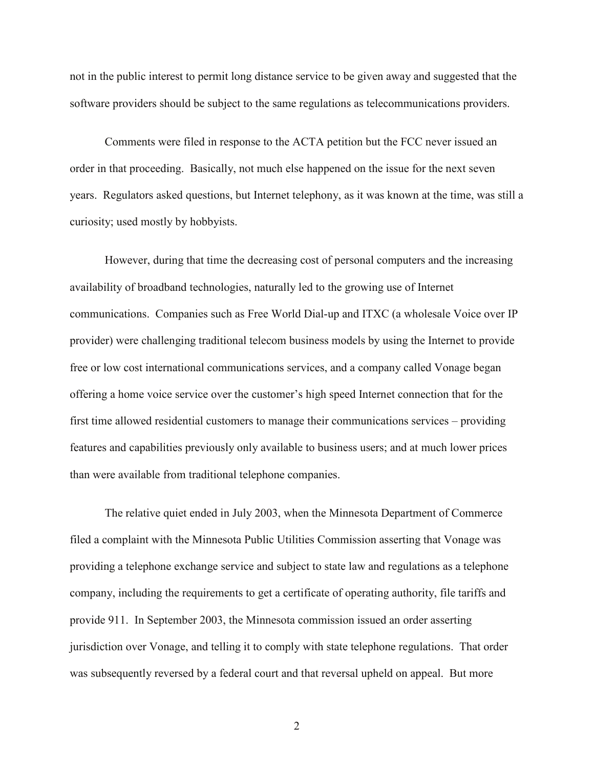not in the public interest to permit long distance service to be given away and suggested that the software providers should be subject to the same regulations as telecommunications providers.

Comments were filed in response to the ACTA petition but the FCC never issued an order in that proceeding. Basically, not much else happened on the issue for the next seven years. Regulators asked questions, but Internet telephony, as it was known at the time, was still a curiosity; used mostly by hobbyists.

However, during that time the decreasing cost of personal computers and the increasing availability of broadband technologies, naturally led to the growing use of Internet communications. Companies such as Free World Dial-up and ITXC (a wholesale Voice over IP provider) were challenging traditional telecom business models by using the Internet to provide free or low cost international communications services, and a company called Vonage began offering a home voice service over the customer's high speed Internet connection that for the first time allowed residential customers to manage their communications services – providing features and capabilities previously only available to business users; and at much lower prices than were available from traditional telephone companies.

The relative quiet ended in July 2003, when the Minnesota Department of Commerce filed a complaint with the Minnesota Public Utilities Commission asserting that Vonage was providing a telephone exchange service and subject to state law and regulations as a telephone company, including the requirements to get a certificate of operating authority, file tariffs and provide 911. In September 2003, the Minnesota commission issued an order asserting jurisdiction over Vonage, and telling it to comply with state telephone regulations. That order was subsequently reversed by a federal court and that reversal upheld on appeal. But more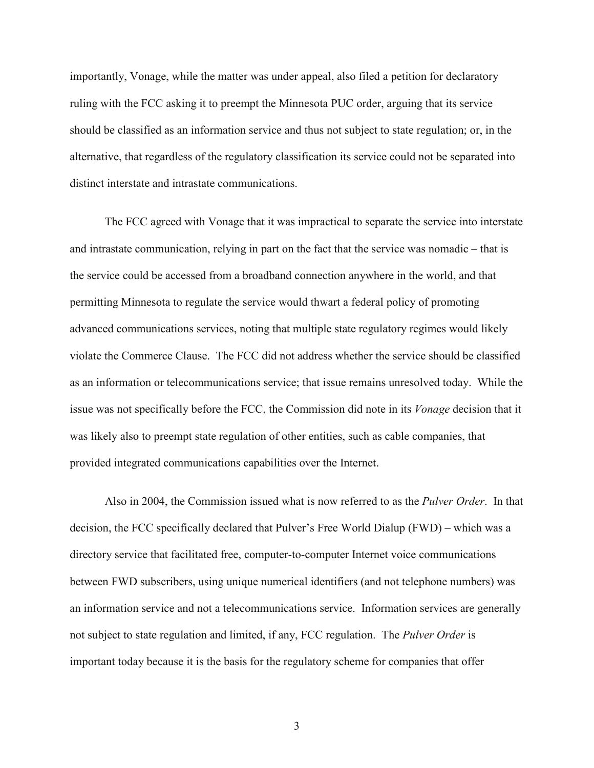importantly, Vonage, while the matter was under appeal, also filed a petition for declaratory ruling with the FCC asking it to preempt the Minnesota PUC order, arguing that its service should be classified as an information service and thus not subject to state regulation; or, in the alternative, that regardless of the regulatory classification its service could not be separated into distinct interstate and intrastate communications.

The FCC agreed with Vonage that it was impractical to separate the service into interstate and intrastate communication, relying in part on the fact that the service was nomadic – that is the service could be accessed from a broadband connection anywhere in the world, and that permitting Minnesota to regulate the service would thwart a federal policy of promoting advanced communications services, noting that multiple state regulatory regimes would likely violate the Commerce Clause. The FCC did not address whether the service should be classified as an information or telecommunications service; that issue remains unresolved today. While the issue was not specifically before the FCC, the Commission did note in its *Vonage* decision that it was likely also to preempt state regulation of other entities, such as cable companies, that provided integrated communications capabilities over the Internet.

Also in 2004, the Commission issued what is now referred to as the *Pulver Order*. In that decision, the FCC specifically declared that Pulver's Free World Dialup (FWD) – which was a directory service that facilitated free, computer-to-computer Internet voice communications between FWD subscribers, using unique numerical identifiers (and not telephone numbers) was an information service and not a telecommunications service. Information services are generally not subject to state regulation and limited, if any, FCC regulation. The *Pulver Order* is important today because it is the basis for the regulatory scheme for companies that offer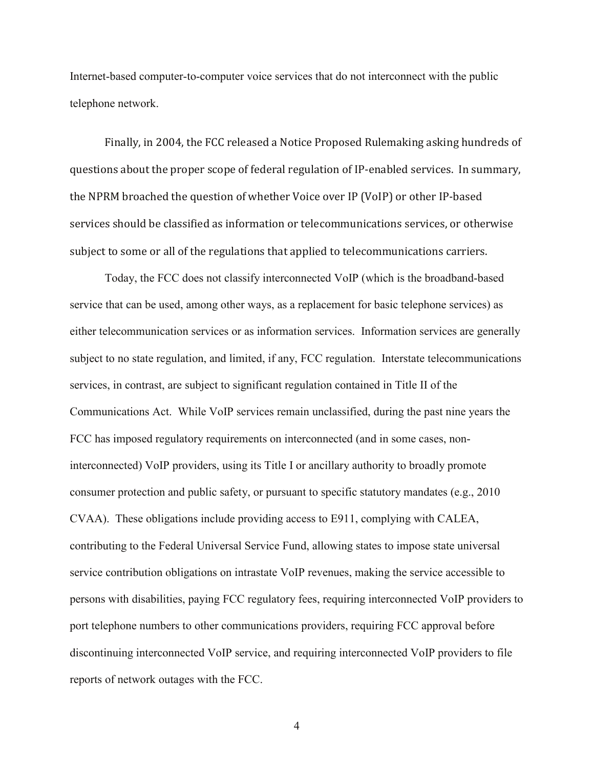Internet-based computer-to-computer voice services that do not interconnect with the public telephone network.

Finally, in 2004, the FCC released a Notice Proposed Rulemaking asking hundreds of questions about the proper scope of federal regulation of IP-enabled services. In summary, the NPRM broached the question of whether Voice over IP (VoIP) or other IP-based services should be classified as information or telecommunications services, or otherwise subject to some or all of the regulations that applied to telecommunications carriers.

Today, the FCC does not classify interconnected VoIP (which is the broadband-based service that can be used, among other ways, as a replacement for basic telephone services) as either telecommunication services or as information services. Information services are generally subject to no state regulation, and limited, if any, FCC regulation. Interstate telecommunications services, in contrast, are subject to significant regulation contained in Title II of the Communications Act. While VoIP services remain unclassified, during the past nine years the FCC has imposed regulatory requirements on interconnected (and in some cases, noninterconnected) VoIP providers, using its Title I or ancillary authority to broadly promote consumer protection and public safety, or pursuant to specific statutory mandates (e.g., 2010 CVAA). These obligations include providing access to E911, complying with CALEA, contributing to the Federal Universal Service Fund, allowing states to impose state universal service contribution obligations on intrastate VoIP revenues, making the service accessible to persons with disabilities, paying FCC regulatory fees, requiring interconnected VoIP providers to port telephone numbers to other communications providers, requiring FCC approval before discontinuing interconnected VoIP service, and requiring interconnected VoIP providers to file reports of network outages with the FCC.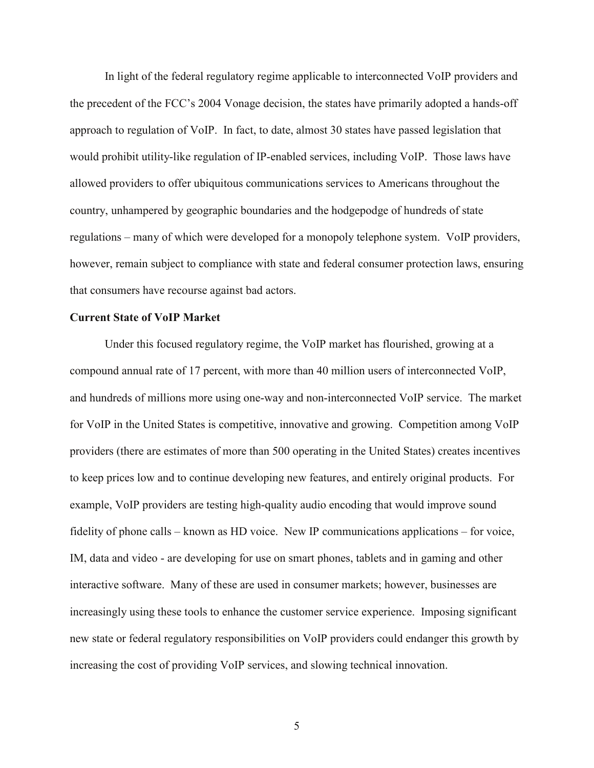In light of the federal regulatory regime applicable to interconnected VoIP providers and the precedent of the FCC's 2004 Vonage decision, the states have primarily adopted a hands-off approach to regulation of VoIP. In fact, to date, almost 30 states have passed legislation that would prohibit utility-like regulation of IP-enabled services, including VoIP. Those laws have allowed providers to offer ubiquitous communications services to Americans throughout the country, unhampered by geographic boundaries and the hodgepodge of hundreds of state regulations – many of which were developed for a monopoly telephone system. VoIP providers, however, remain subject to compliance with state and federal consumer protection laws, ensuring that consumers have recourse against bad actors.

### **Current State of VoIP Market**

Under this focused regulatory regime, the VoIP market has flourished, growing at a compound annual rate of 17 percent, with more than 40 million users of interconnected VoIP, and hundreds of millions more using one-way and non-interconnected VoIP service. The market for VoIP in the United States is competitive, innovative and growing. Competition among VoIP providers (there are estimates of more than 500 operating in the United States) creates incentives to keep prices low and to continue developing new features, and entirely original products. For example, VoIP providers are testing high-quality audio encoding that would improve sound fidelity of phone calls – known as HD voice. New IP communications applications – for voice, IM, data and video - are developing for use on smart phones, tablets and in gaming and other interactive software. Many of these are used in consumer markets; however, businesses are increasingly using these tools to enhance the customer service experience. Imposing significant new state or federal regulatory responsibilities on VoIP providers could endanger this growth by increasing the cost of providing VoIP services, and slowing technical innovation.